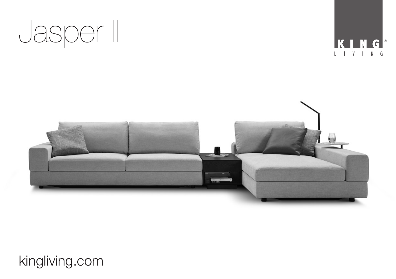





## kingliving.com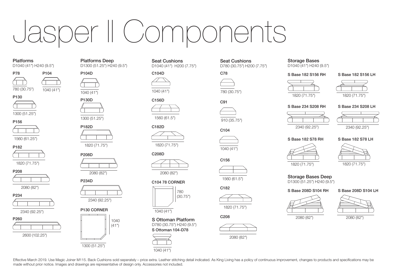# Jasper II Components

## Platforms

D1040 (41") H240 (9.5")



 $780 (30.75")$   $1040 (41")$ 



1300 (51.25")

## P156

1560 (61.25")





1820 (71.75")

## P208











### Platforms Deep D1300 (51.25") H240 (9.5")



1040 (41")



P182D

1820 (71.75")



P234D



## P130 CORNER



made without prior notice. Images and drawings are representative of design only. Accessories not included.

Seat Cushions D1040 (41") H200 (7.75")



C156D C91





C208D



C104 78 CORNER



S Ottoman Platform

D780 (30.75") H240 (9.5") S Ottoman 104-D78

Effective March 2019, Use Magic Joiner M115, Back Cushions sold seperately - price extra, Leather stitching detail indicated. As King Living has a policy of continuous improvement, changes to products and specifications ma



### Seat Cushions D780 (30.75") H200 (7.75")





 $C182D$   $C104$ 

1040 (41")

C<sub>156</sub>

1560 (61.5")

C<sub>182</sub>



C<sub>208</sub>





## Storage Bases

D1040 (41") H240 (9.5")

S Base 182 S156 RH









S Base 234 S208 RH S Base 234 S208 LH





S Base 182 S78 LH

2340 (92.25")

S Base 182 S78 RH



1820 (71.75")

Storage Bases Deep D1300 (51.25") H240 (9.5")





























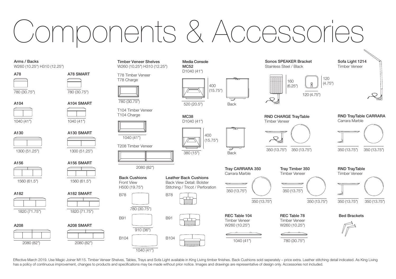# Components & Accessorie

## Arms / Backs

W260 (10.25") H310 (12.25")

780 (30.75")

1040 (41") A104





1560 (61.5")

1820 (71.75") A182

A208



## A78 SMART

780 (30.75")

A104 SMART

1040 (41")



A156 SMART 1300 (51.25") 1300 (51.25")



1560 (61.5")



1820 (71.75")

A208 SMART

Timber Veneer Shelves W260 (10.25") H310 (12.25")

T78 Timber Veneer T78 Charge



T104 Timber Veneer T104 Charge

1040 (41") T208 Timber Veneer



2080 (82")



910 (36")

B91



B78



Leather Back Cushions Back View Detail: Bolster Stitching / Tricot / Perforation



Media Console MC52 D1040 (41")



520 (20.5")

MC38 D1040 (41")





Back

Carrara Marble

REC Table 104 Timber Veneer W260 (10.25")





Timber Veneer 350 (13.75") 350 (13.75")

> REC Table 78 Timber Veneer W260 (10.25")

> > 780 (30.75")

RND CHARGE TrayTable

160 (6.25")

Sonos SPEAKER Bracket Stainless Steel / Black

120 (4.75")

Carrara Marble

120 (4.75")



RND TrayTable CARRARA

Sofa Light 1214 Timber Veneer

Tray CARRARA 350

RND TrayTable Timber Veneer



Bed Brackets



1040 (41") 2080 (82") B104 B104 1040 (41")

Effective March 2019, Use Magic Joiner M115, Timber Veneer Shelves, Tables, Trays and Sofa Light available in King Living timber finishes, Back Cushions sold seperately - price extra, Leather stitching detail indicated. As has a policy of continuous improvement, changes to products and specifications may be made without prior notice. Images and drawings are representative of design only. Accessories not included.